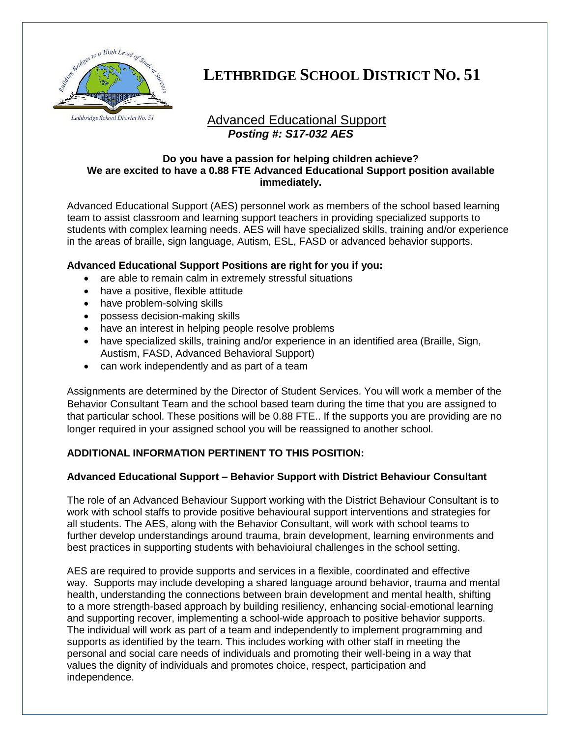

# **LETHBRIDGE SCHOOL DISTRICT NO. 51**

# Advanced Educational Support *Posting #: S17-032 AES*

#### **Do you have a passion for helping children achieve? We are excited to have a 0.88 FTE Advanced Educational Support position available immediately.**

Advanced Educational Support (AES) personnel work as members of the school based learning team to assist classroom and learning support teachers in providing specialized supports to students with complex learning needs. AES will have specialized skills, training and/or experience in the areas of braille, sign language, Autism, ESL, FASD or advanced behavior supports.

### **Advanced Educational Support Positions are right for you if you:**

- are able to remain calm in extremely stressful situations
- have a positive, flexible attitude
- have problem-solving skills
- possess decision-making skills
- have an interest in helping people resolve problems
- have specialized skills, training and/or experience in an identified area (Braille, Sign, Austism, FASD, Advanced Behavioral Support)
- can work independently and as part of a team

Assignments are determined by the Director of Student Services. You will work a member of the Behavior Consultant Team and the school based team during the time that you are assigned to that particular school. These positions will be 0.88 FTE.. If the supports you are providing are no longer required in your assigned school you will be reassigned to another school.

## **ADDITIONAL INFORMATION PERTINENT TO THIS POSITION:**

## **Advanced Educational Support – Behavior Support with District Behaviour Consultant**

The role of an Advanced Behaviour Support working with the District Behaviour Consultant is to work with school staffs to provide positive behavioural support interventions and strategies for all students. The AES, along with the Behavior Consultant, will work with school teams to further develop understandings around trauma, brain development, learning environments and best practices in supporting students with behavioiural challenges in the school setting.

AES are required to provide supports and services in a flexible, coordinated and effective way. Supports may include developing a shared language around behavior, trauma and mental health, understanding the connections between brain development and mental health, shifting to a more strength-based approach by building resiliency, enhancing social-emotional learning and supporting recover, implementing a school-wide approach to positive behavior supports. The individual will work as part of a team and independently to implement programming and supports as identified by the team. This includes working with other staff in meeting the personal and social care needs of individuals and promoting their well-being in a way that values the dignity of individuals and promotes choice, respect, participation and independence.